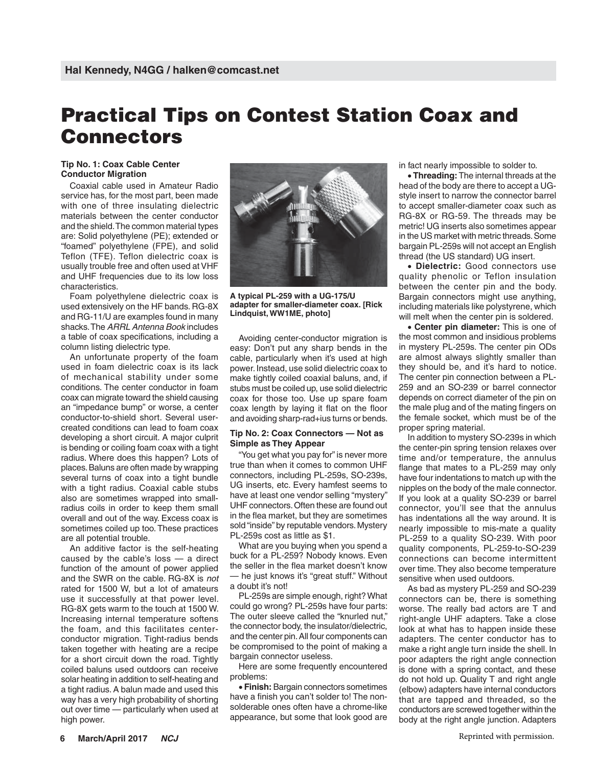## **Practical Tips on Contest Station Coax and Connectors**

## **Tip No. 1: Coax Cable Center Conductor Migration**

Coaxial cable used in Amateur Radio service has, for the most part, been made with one of three insulating dielectric materials between the center conductor and the shield. The common material types are: Solid polyethylene (PE); extended or "foamed" polyethylene (FPE), and solid Teflon (TFE). Teflon dielectric coax is usually trouble free and often used at VHF and UHF frequencies due to its low loss characteristics.

Foam polyethylene dielectric coax is used extensively on the HF bands. RG-8X and RG-11/U are examples found in many shacks. The *ARRL Antenna Book* includes a table of coax specifications, including a column listing dielectric type.

An unfortunate property of the foam used in foam dielectric coax is its lack of mechanical stability under some conditions. The center conductor in foam coax can migrate toward the shield causing an "impedance bump" or worse, a center conductor-to-shield short. Several usercreated conditions can lead to foam coax developing a short circuit. A major culprit is bending or coiling foam coax with a tight radius. Where does this happen? Lots of places. Baluns are often made by wrapping several turns of coax into a tight bundle with a tight radius. Coaxial cable stubs also are sometimes wrapped into smallradius coils in order to keep them small overall and out of the way. Excess coax is sometimes coiled up too. These practices are all potential trouble.

An additive factor is the self-heating caused by the cable's loss — a direct function of the amount of power applied and the SWR on the cable. RG-8X is *not* rated for 1500 W, but a lot of amateurs use it successfully at that power level. RG-8X gets warm to the touch at 1500 W. Increasing internal temperature softens the foam, and this facilitates centerconductor migration. Tight-radius bends taken together with heating are a recipe for a short circuit down the road. Tightly coiled baluns used outdoors can receive solar heating in addition to self-heating and a tight radius. A balun made and used this way has a very high probability of shorting out over time — particularly when used at high power.



**A typical PL-259 with a UG-175/U adapter for smaller-diameter coax. [Rick Lindquist, WW1ME, photo]**

Avoiding center-conductor migration is easy: Don't put any sharp bends in the cable, particularly when it's used at high power. Instead, use solid dielectric coax to make tightly coiled coaxial baluns, and, if stubs must be coiled up, use solid dielectric coax for those too. Use up spare foam coax length by laying it flat on the floor and avoiding sharp-rad+ius turns or bends.

## **Tip No. 2: Coax Connectors — Not as Simple as They Appear**

"You get what you pay for" is never more true than when it comes to common UHF connectors, including PL-259s, SO-239s, UG inserts, etc. Every hamfest seems to have at least one vendor selling "mystery" UHF connectors. Often these are found out in the flea market, but they are sometimes sold "inside" by reputable vendors. Mystery PL-259s cost as little as \$1.

What are you buying when you spend a buck for a PL-259? Nobody knows. Even the seller in the flea market doesn't know — he just knows it's "great stuff." Without a doubt it's not!

PL-259s are simple enough, right? What could go wrong? PL-259s have four parts: The outer sleeve called the "knurled nut," the connector body, the insulator/dielectric, and the center pin. All four components can be compromised to the point of making a bargain connector useless.

Here are some frequently encountered problems:

 **Finish:** Bargain connectors sometimes have a finish you can't solder to! The nonsolderable ones often have a chrome-like appearance, but some that look good are

in fact nearly impossible to solder to.

**Threading:** The internal threads at the head of the body are there to accept a UGstyle insert to narrow the connector barrel to accept smaller-diameter coax such as RG-8X or RG-59. The threads may be metric! UG inserts also sometimes appear in the US market with metric threads. Some bargain PL-259s will not accept an English thread (the US standard) UG insert.

 **Dielectric:** Good connectors use quality phenolic or Teflon insulation between the center pin and the body. Bargain connectors might use anything, including materials like polystyrene, which will melt when the center pin is soldered.

**Center pin diameter:** This is one of the most common and insidious problems in mystery PL-259s. The center pin ODs are almost always slightly smaller than they should be, and it's hard to notice. The center pin connection between a PL-259 and an SO-239 or barrel connector depends on correct diameter of the pin on the male plug and of the mating fingers on the female socket, which must be of the proper spring material.

In addition to mystery SO-239s in which the center-pin spring tension relaxes over time and/or temperature, the annulus flange that mates to a PL-259 may only have four indentations to match up with the nipples on the body of the male connector. If you look at a quality SO-239 or barrel connector, you'll see that the annulus has indentations all the way around. It is nearly impossible to mis-mate a quality PL-259 to a quality SO-239. With poor quality components, PL-259-to-SO-239 connections can become intermittent over time. They also become temperature sensitive when used outdoors.

As bad as mystery PL-259 and SO-239 connectors can be, there is something worse. The really bad actors are T and right-angle UHF adapters. Take a close look at what has to happen inside these adapters. The center conductor has to make a right angle turn inside the shell. In poor adapters the right angle connection is done with a spring contact, and these do not hold up. Quality T and right angle (elbow) adapters have internal conductors that are tapped and threaded, so the conductors are screwed together within the body at the right angle junction. Adapters